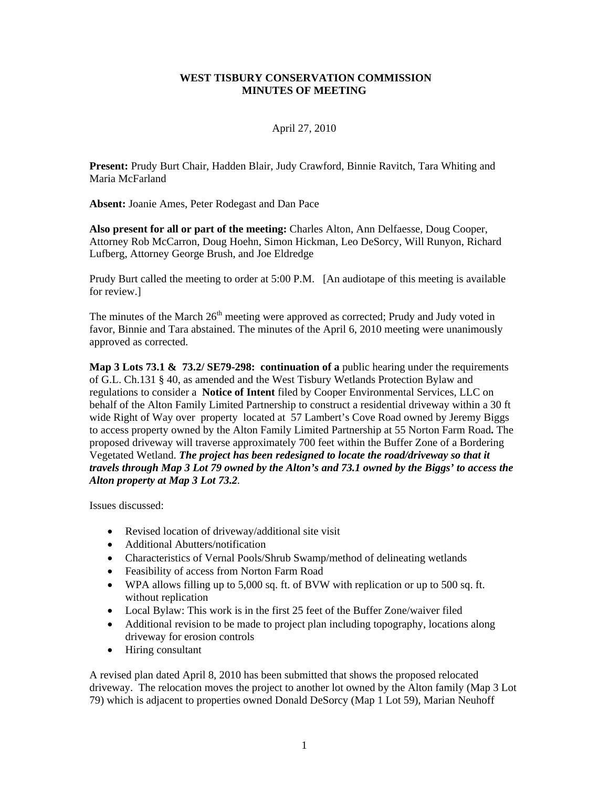#### **WEST TISBURY CONSERVATION COMMISSION MINUTES OF MEETING**

# April 27, 2010

**Present:** Prudy Burt Chair, Hadden Blair, Judy Crawford, Binnie Ravitch, Tara Whiting and Maria McFarland

**Absent:** Joanie Ames, Peter Rodegast and Dan Pace

**Also present for all or part of the meeting:** Charles Alton, Ann Delfaesse, Doug Cooper, Attorney Rob McCarron, Doug Hoehn, Simon Hickman, Leo DeSorcy, Will Runyon, Richard Lufberg, Attorney George Brush, and Joe Eldredge

Prudy Burt called the meeting to order at 5:00 P.M. [An audiotape of this meeting is available for review.]

The minutes of the March  $26<sup>th</sup>$  meeting were approved as corrected; Prudy and Judy voted in favor, Binnie and Tara abstained. The minutes of the April 6, 2010 meeting were unanimously approved as corrected.

**Map 3 Lots 73.1 & 73.2/ SE79-298: continuation of a** public hearing under the requirements of G.L. Ch.131 § 40, as amended and the West Tisbury Wetlands Protection Bylaw and regulations to consider a **Notice of Intent** filed by Cooper Environmental Services, LLC on behalf of the Alton Family Limited Partnership to construct a residential driveway within a 30 ft wide Right of Way over property located at 57 Lambert's Cove Road owned by Jeremy Biggs to access property owned by the Alton Family Limited Partnership at 55 Norton Farm Road**.** The proposed driveway will traverse approximately 700 feet within the Buffer Zone of a Bordering Vegetated Wetland. *The project has been redesigned to locate the road/driveway so that it travels through Map 3 Lot 79 owned by the Alton's and 73.1 owned by the Biggs' to access the Alton property at Map 3 Lot 73.2.* 

Issues discussed:

- Revised location of driveway/additional site visit
- Additional Abutters/notification
- Characteristics of Vernal Pools/Shrub Swamp/method of delineating wetlands
- Feasibility of access from Norton Farm Road
- WPA allows filling up to 5,000 sq. ft. of BVW with replication or up to 500 sq. ft. without replication
- Local Bylaw: This work is in the first 25 feet of the Buffer Zone/waiver filed
- Additional revision to be made to project plan including topography, locations along driveway for erosion controls
- Hiring consultant

A revised plan dated April 8, 2010 has been submitted that shows the proposed relocated driveway. The relocation moves the project to another lot owned by the Alton family (Map 3 Lot 79) which is adjacent to properties owned Donald DeSorcy (Map 1 Lot 59), Marian Neuhoff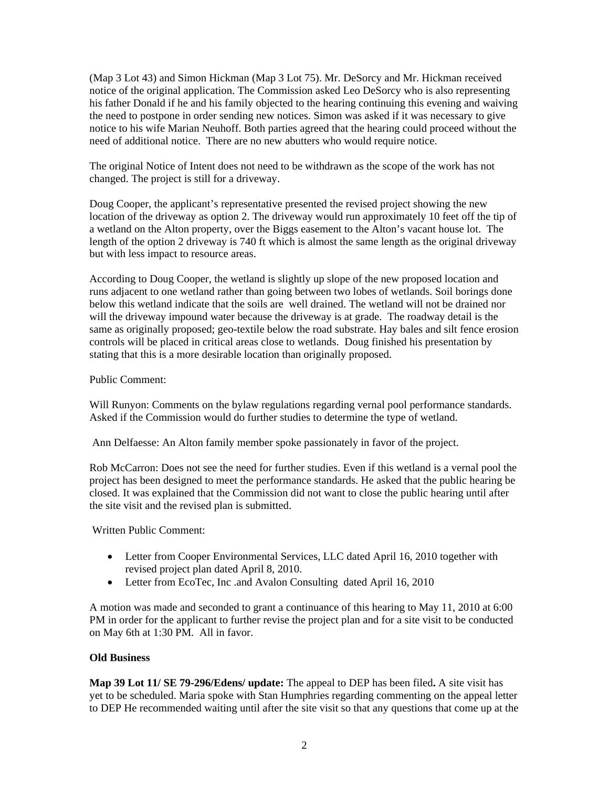(Map 3 Lot 43) and Simon Hickman (Map 3 Lot 75). Mr. DeSorcy and Mr. Hickman received notice of the original application. The Commission asked Leo DeSorcy who is also representing his father Donald if he and his family objected to the hearing continuing this evening and waiving the need to postpone in order sending new notices. Simon was asked if it was necessary to give notice to his wife Marian Neuhoff. Both parties agreed that the hearing could proceed without the need of additional notice. There are no new abutters who would require notice.

The original Notice of Intent does not need to be withdrawn as the scope of the work has not changed. The project is still for a driveway.

Doug Cooper, the applicant's representative presented the revised project showing the new location of the driveway as option 2. The driveway would run approximately 10 feet off the tip of a wetland on the Alton property, over the Biggs easement to the Alton's vacant house lot. The length of the option 2 driveway is 740 ft which is almost the same length as the original driveway but with less impact to resource areas.

According to Doug Cooper, the wetland is slightly up slope of the new proposed location and runs adjacent to one wetland rather than going between two lobes of wetlands. Soil borings done below this wetland indicate that the soils are well drained. The wetland will not be drained nor will the driveway impound water because the driveway is at grade. The roadway detail is the same as originally proposed; geo-textile below the road substrate. Hay bales and silt fence erosion controls will be placed in critical areas close to wetlands. Doug finished his presentation by stating that this is a more desirable location than originally proposed.

## Public Comment:

Will Runyon: Comments on the bylaw regulations regarding vernal pool performance standards. Asked if the Commission would do further studies to determine the type of wetland.

Ann Delfaesse: An Alton family member spoke passionately in favor of the project.

Rob McCarron: Does not see the need for further studies. Even if this wetland is a vernal pool the project has been designed to meet the performance standards. He asked that the public hearing be closed. It was explained that the Commission did not want to close the public hearing until after the site visit and the revised plan is submitted.

Written Public Comment:

- Letter from Cooper Environmental Services, LLC dated April 16, 2010 together with revised project plan dated April 8, 2010.
- Letter from EcoTec, Inc. and Avalon Consulting dated April 16, 2010

A motion was made and seconded to grant a continuance of this hearing to May 11, 2010 at 6:00 PM in order for the applicant to further revise the project plan and for a site visit to be conducted on May 6th at 1:30 PM. All in favor.

# **Old Business**

**Map 39 Lot 11/ SE 79-296/Edens/ update:** The appeal to DEP has been filed**.** A site visit has yet to be scheduled. Maria spoke with Stan Humphries regarding commenting on the appeal letter to DEP He recommended waiting until after the site visit so that any questions that come up at the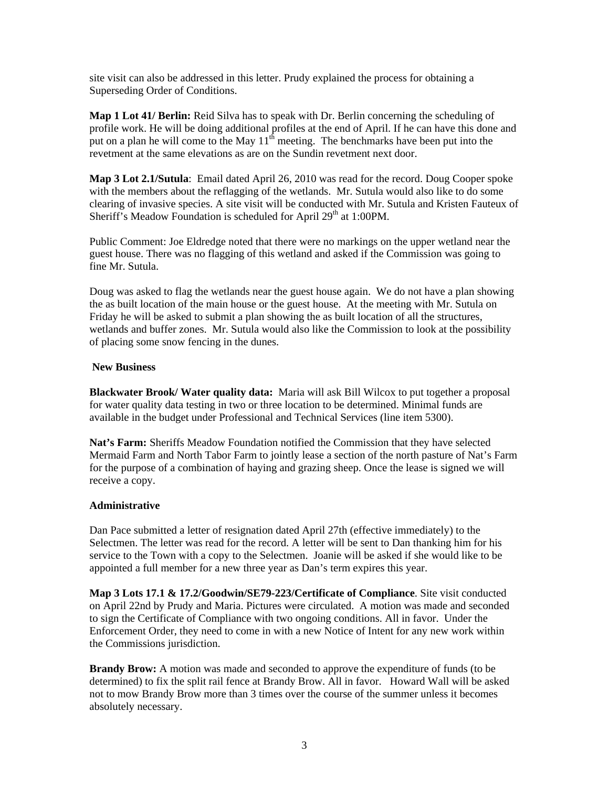site visit can also be addressed in this letter. Prudy explained the process for obtaining a Superseding Order of Conditions.

**Map 1 Lot 41/ Berlin:** Reid Silva has to speak with Dr. Berlin concerning the scheduling of profile work. He will be doing additional profiles at the end of April. If he can have this done and put on a plan he will come to the May  $11<sup>th</sup>$  meeting. The benchmarks have been put into the revetment at the same elevations as are on the Sundin revetment next door.

**Map 3 Lot 2.1/Sutula**: Email dated April 26, 2010 was read for the record. Doug Cooper spoke with the members about the reflagging of the wetlands. Mr. Sutula would also like to do some clearing of invasive species. A site visit will be conducted with Mr. Sutula and Kristen Fauteux of Sheriff's Meadow Foundation is scheduled for April 29<sup>th</sup> at 1:00PM.

Public Comment: Joe Eldredge noted that there were no markings on the upper wetland near the guest house. There was no flagging of this wetland and asked if the Commission was going to fine Mr. Sutula.

Doug was asked to flag the wetlands near the guest house again. We do not have a plan showing the as built location of the main house or the guest house. At the meeting with Mr. Sutula on Friday he will be asked to submit a plan showing the as built location of all the structures, wetlands and buffer zones. Mr. Sutula would also like the Commission to look at the possibility of placing some snow fencing in the dunes.

#### **New Business**

**Blackwater Brook/ Water quality data:** Maria will ask Bill Wilcox to put together a proposal for water quality data testing in two or three location to be determined. Minimal funds are available in the budget under Professional and Technical Services (line item 5300).

**Nat's Farm:** Sheriffs Meadow Foundation notified the Commission that they have selected Mermaid Farm and North Tabor Farm to jointly lease a section of the north pasture of Nat's Farm for the purpose of a combination of haying and grazing sheep. Once the lease is signed we will receive a copy.

### **Administrative**

Dan Pace submitted a letter of resignation dated April 27th (effective immediately) to the Selectmen. The letter was read for the record. A letter will be sent to Dan thanking him for his service to the Town with a copy to the Selectmen. Joanie will be asked if she would like to be appointed a full member for a new three year as Dan's term expires this year.

**Map 3 Lots 17.1 & 17.2/Goodwin/SE79-223/Certificate of Compliance**. Site visit conducted on April 22nd by Prudy and Maria. Pictures were circulated. A motion was made and seconded to sign the Certificate of Compliance with two ongoing conditions. All in favor. Under the Enforcement Order, they need to come in with a new Notice of Intent for any new work within the Commissions jurisdiction.

**Brandy Brow:** A motion was made and seconded to approve the expenditure of funds (to be determined) to fix the split rail fence at Brandy Brow. All in favor. Howard Wall will be asked not to mow Brandy Brow more than 3 times over the course of the summer unless it becomes absolutely necessary.